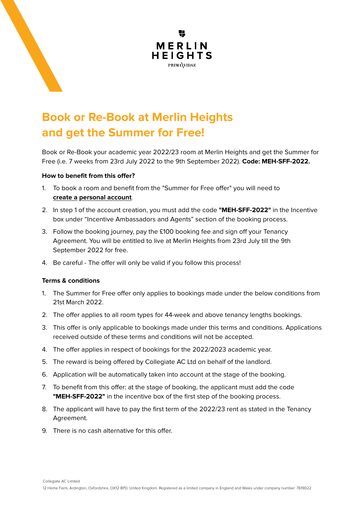

## **Book or Re-Book at Merlin Heights** and get the Summer for Free!

Book or Re-Book your academic year 2022/23 room at Merlin Heights and get the Summer for Free (i.e. 7 weeks from 23rd July 2022 to the 9th September 2022). Code: MEH-SFF-2022.

## **How to benefit from this offer?**

- 1. To book a room and benefit from the "Summer for Free offer" you will need to create a personal account.
- 2. In step 1 of the account creation, you must add the code "MEH-SFF-2022" in the Incentive box under "Incentive Ambassadors and Agents" section of the booking process.
- 3. Follow the booking journey, pay the £100 booking fee and sign off your Tenancy Agreement. You will be entitled to live at Merlin Heights from 23rd July till the 9th September 2022 for free.
- 4. Be careful The offer will only be valid if you follow this process!

## **conditions & Terms**

- 1. The Summer for Free offer only applies to bookings made under the below conditions from 21st March 2022
- 2. The offer applies to all room types for 44-week and above tenancy lengths bookings.
- 3. This offer is only applicable to bookings made under this terms and conditions. Applications received outside of these terms and conditions will not be accepted.
- 4. The offer applies in respect of bookings for the 2022/2023 academic year.
- 5. The reward is being offered by Collegiate AC Ltd on behalf of the landlord.
- 6. Application will be automatically taken into account at the stage of the booking.
- 7. To benefit from this offer: at the stage of booking, the applicant must add the code **"MEH-SFF-2022"** in the incentive box of the first step of the booking process.
- 8. The applicant will have to pay the first term of the 2022/23 rent as stated in the Tenancy .Agreement
- 9. There is no cash alternative for this offer.

Collegiate AC Limited